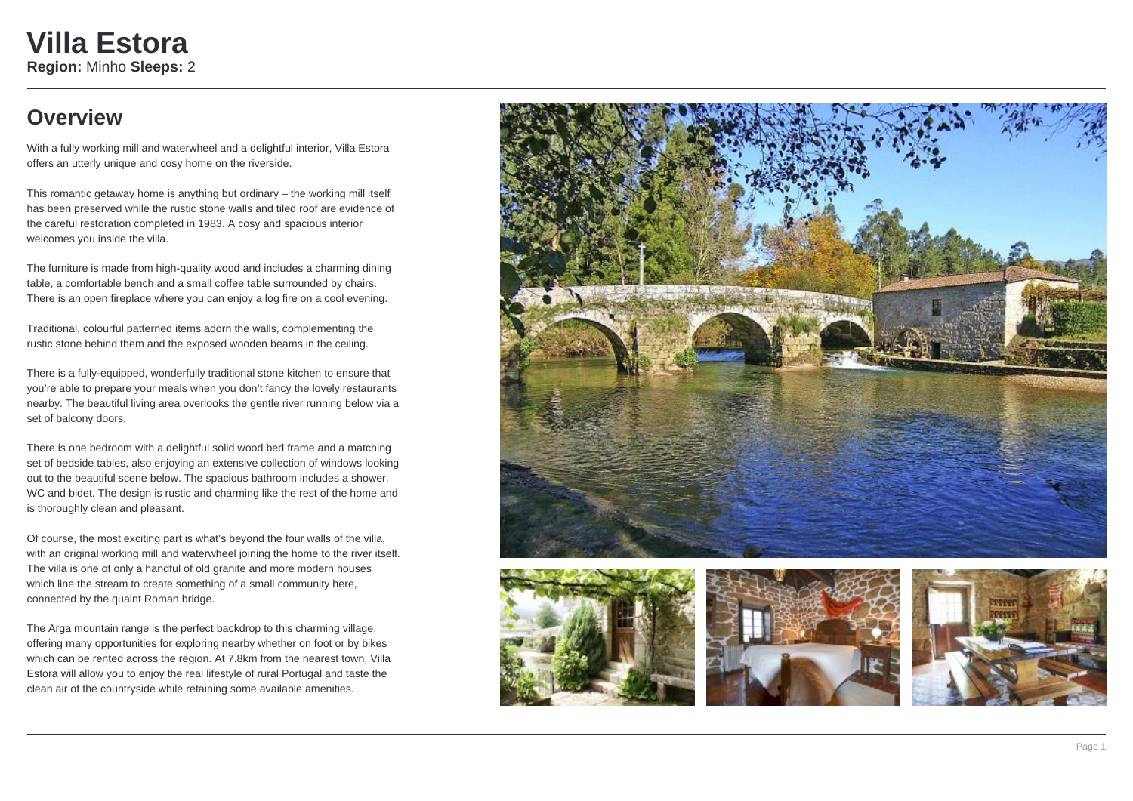## **Overview**

With a fully working mill and waterwheel and a delightful interior, Villa Estora offers an utterly unique and cosy home on the riverside.

This romantic getaway home is anything but ordinary – the working mill itself has been preserved while the rustic stone walls and tiled roof are evidence of the careful restoration completed in 1983. A cosy and spacious interior welcomes you inside the villa.

The furniture is made from high-quality wood and includes a charming dining table, a comfortable bench and a small coffee table surrounded by chairs. There is an open fireplace where you can enjoy a log fire on a cool evening.

Traditional, colourful patterned items adorn the walls, complementing the rustic stone behind them and the exposed wooden beams in the ceiling.

There is a fully-equipped, wonderfully traditional stone kitchen to ensure that you're able to prepare your meals when you don't fancy the lovely restaurants nearby. The beautiful living area overlooks the gentle river running below via a set of balcony doors.

There is one bedroom with a delightful solid wood bed frame and a matching set of bedside tables, also enjoying an extensive collection of windows looking out to the beautiful scene below. The spacious bathroom includes a shower, WC and bidet. The design is rustic and charming like the rest of the home and is thoroughly clean and pleasant.

Of course, the most exciting part is what's beyond the four walls of the villa, with an original working mill and waterwheel joining the home to the river itself. The villa is one of only a handful of old granite and more modern houses which line the stream to create something of a small community here. connected by the quaint Roman bridge.

The Arga mountain range is the perfect backdrop to this charming village, offering many opportunities for exploring nearby whether on foot or by bikes which can be rented across the region. At 7.8km from the nearest town, Villa Estora will allow you to enjoy the real lifestyle of rural Portugal and taste the clean air of the countryside while retaining some available amenities.







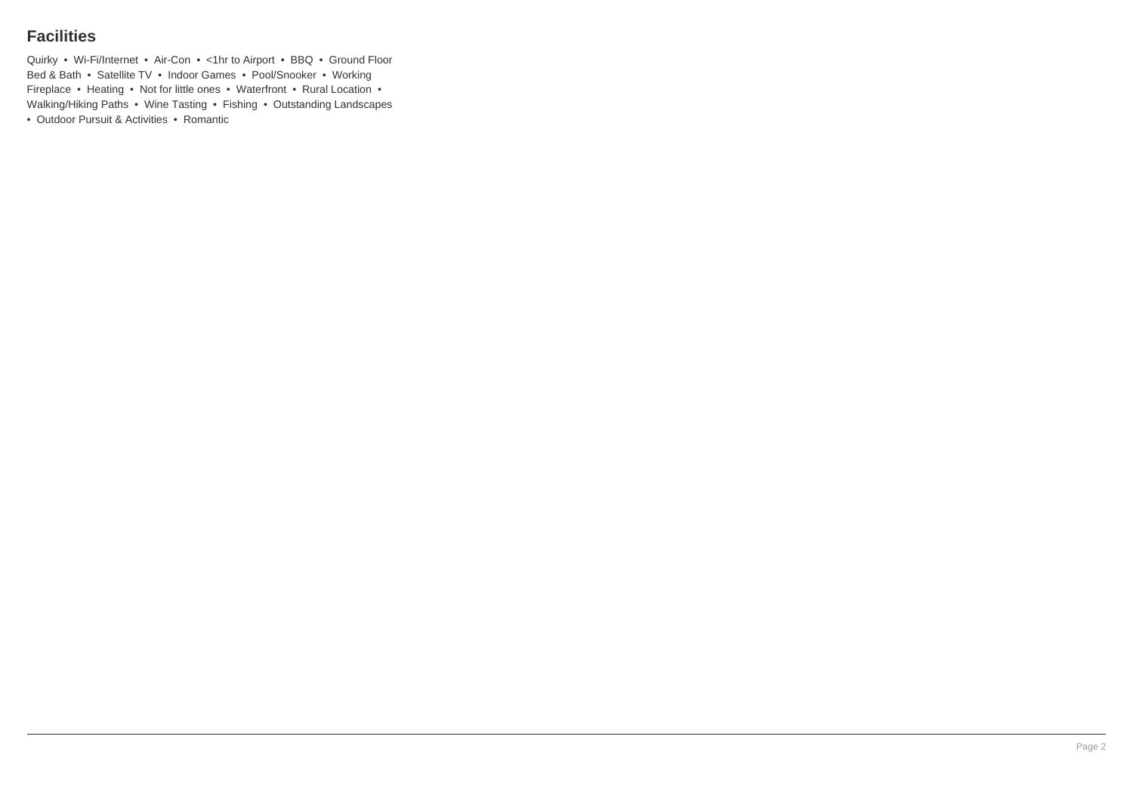### **Facilities**

Quirky • Wi-Fi/Internet • Air-Con • <1hr to Airport • BBQ • Ground Floor Bed & Bath • Satellite TV • Indoor Games • Pool/Snooker • Working Fireplace • Heating • Not for little ones • Waterfront • Rural Location • Walking/Hiking Paths • Wine Tasting • Fishing • Outstanding Landscapes • Outdoor Pursuit & Activities • Romantic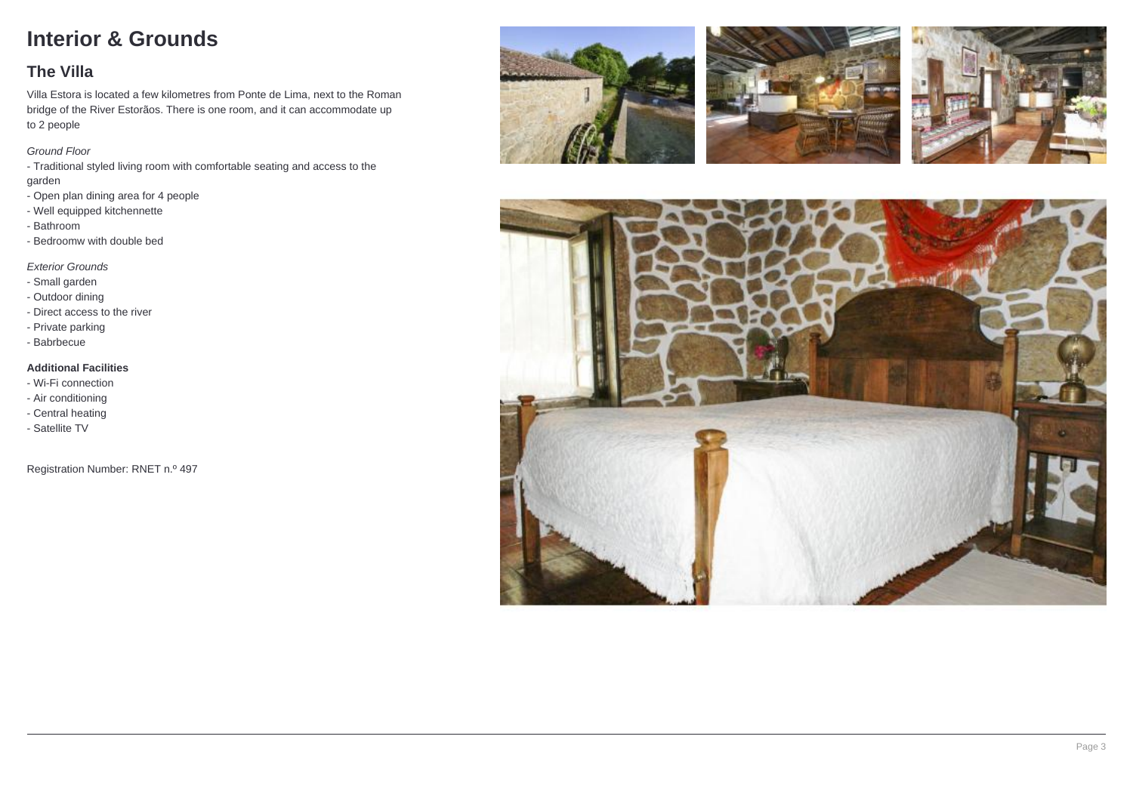# **Interior & Grounds**

### **The Villa**

Villa Estora is located a few kilometres from Ponte de Lima, next to the Roman bridge of the River Estorãos. There is one room, and it can accommodate up to 2 people

#### Ground Floor

- Traditional styled living room with comfortable seating and access to the garden
- Open plan dining area for 4 people
- Well equipped kitchennette
- Bathroom
- Bedroomw with double bed

### Exterior Grounds

- Small garden
- Outdoor dining
- Direct access to the river
- Private parking
- Babrbecue

### **Additional Facilities**

- Wi-Fi connection
- Air conditioning
- Central heating
- Satellite TV

Registration Number: RNET n.º 497







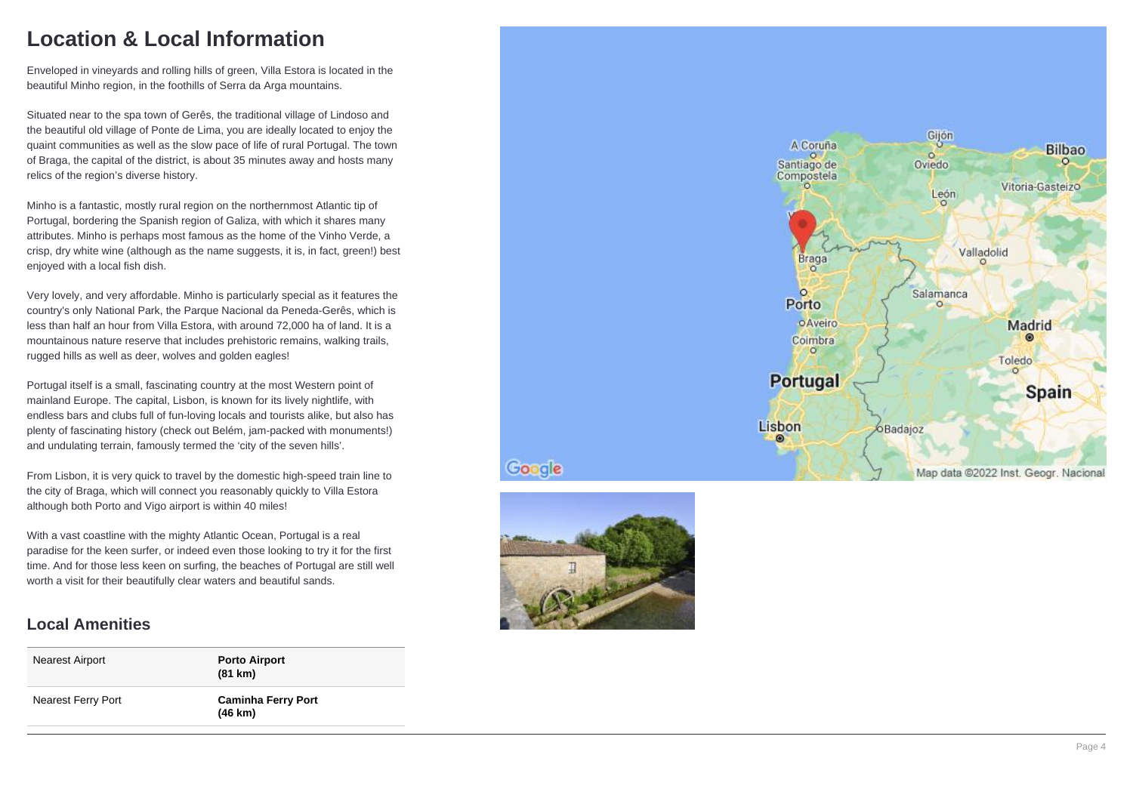## **Location & Local Information**

Enveloped in vineyards and rolling hills of green, Villa Estora is located in the beautiful Minho region, in the foothills of Serra da Arga mountains.

Situated near to the spa town of Gerês, the traditional village of Lindoso and the beautiful old village of Ponte de Lima, you are ideally located to enjoy the quaint communities as well as the slow pace of life of rural Portugal. The town of Braga, the capital of the district, is about 35 minutes away and hosts many relics of the region's diverse history.

Minho is a fantastic, mostly rural region on the northernmost Atlantic tip of Portugal, bordering the Spanish region of Galiza, with which it shares many attributes. Minho is perhaps most famous as the home of the Vinho Verde, a crisp, dry white wine (although as the name suggests, it is, in fact, green!) best enjoyed with a local fish dish.

Very lovely, and very affordable. Minho is particularly special as it features the country's only National Park, the Parque Nacional da Peneda-Gerês, which is less than half an hour from Villa Estora, with around 72,000 ha of land. It is a mountainous nature reserve that includes prehistoric remains, walking trails, rugged hills as well as deer, wolves and golden eagles!

Portugal itself is a small, fascinating country at the most Western point of mainland Europe. The capital, Lisbon, is known for its lively nightlife, with endless bars and clubs full of fun-loving locals and tourists alike, but also has plenty of fascinating history (check out Belém, jam-packed with monuments!) and undulating terrain, famously termed the 'city of the seven hills'.

From Lisbon, it is very quick to travel by the domestic high-speed train line to the city of Braga, which will connect you reasonably quickly to Villa Estora although both Porto and Vigo airport is within 40 miles!

With a vast coastline with the mighty Atlantic Ocean, Portugal is a real paradise for the keen surfer, or indeed even those looking to try it for the first time. And for those less keen on surfing, the beaches of Portugal are still well worth a visit for their beautifully clear waters and beautiful sands.

### **Local Amenities**

| Nearest Airport    | <b>Porto Airport</b><br>(81 km)      |
|--------------------|--------------------------------------|
| Nearest Ferry Port | <b>Caminha Ferry Port</b><br>(46 km) |





Google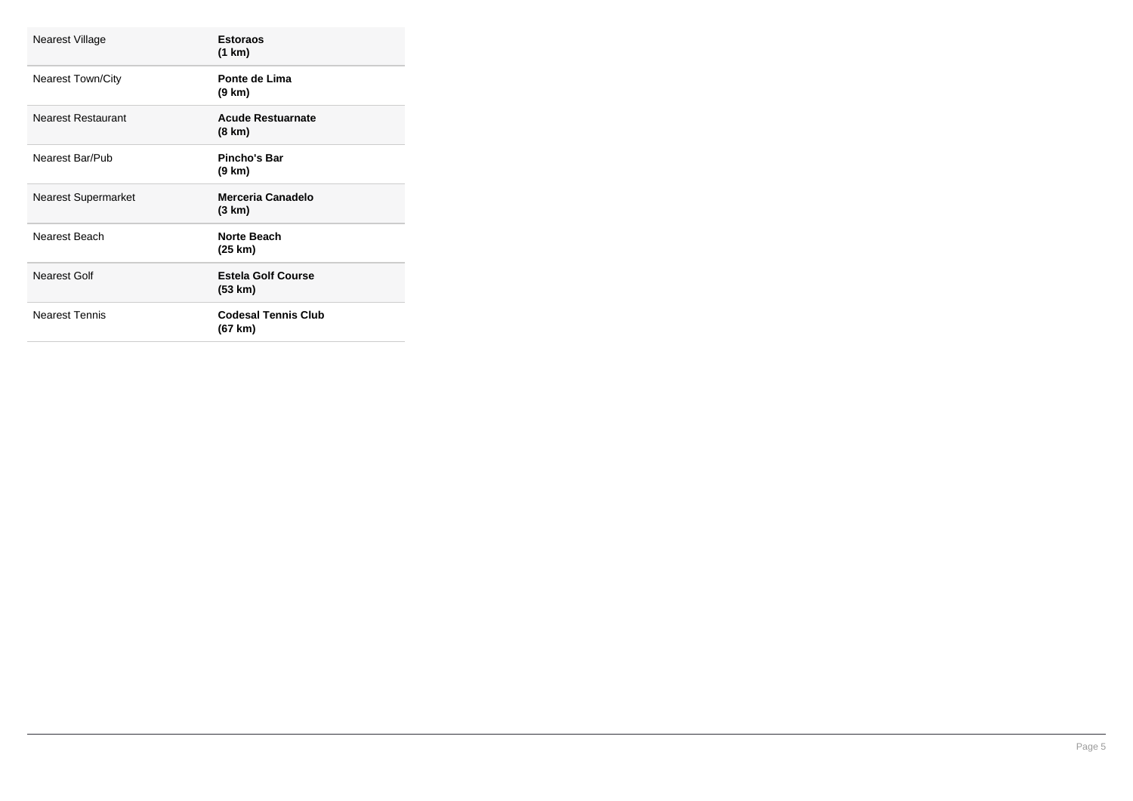| Nearest Village            | <b>Estoraos</b><br>(1 km)            |
|----------------------------|--------------------------------------|
| <b>Nearest Town/City</b>   | Ponte de Lima<br>(9 km)              |
| <b>Nearest Restaurant</b>  | <b>Acude Restuarnate</b><br>(8 km)   |
| Nearest Bar/Pub            | Pincho's Bar<br>(9 km)               |
| <b>Nearest Supermarket</b> | Merceria Canadelo<br>(3 km)          |
|                            |                                      |
| Nearest Beach              | <b>Norte Beach</b><br>(25 km)        |
| Nearest Golf               | <b>Estela Golf Course</b><br>(53 km) |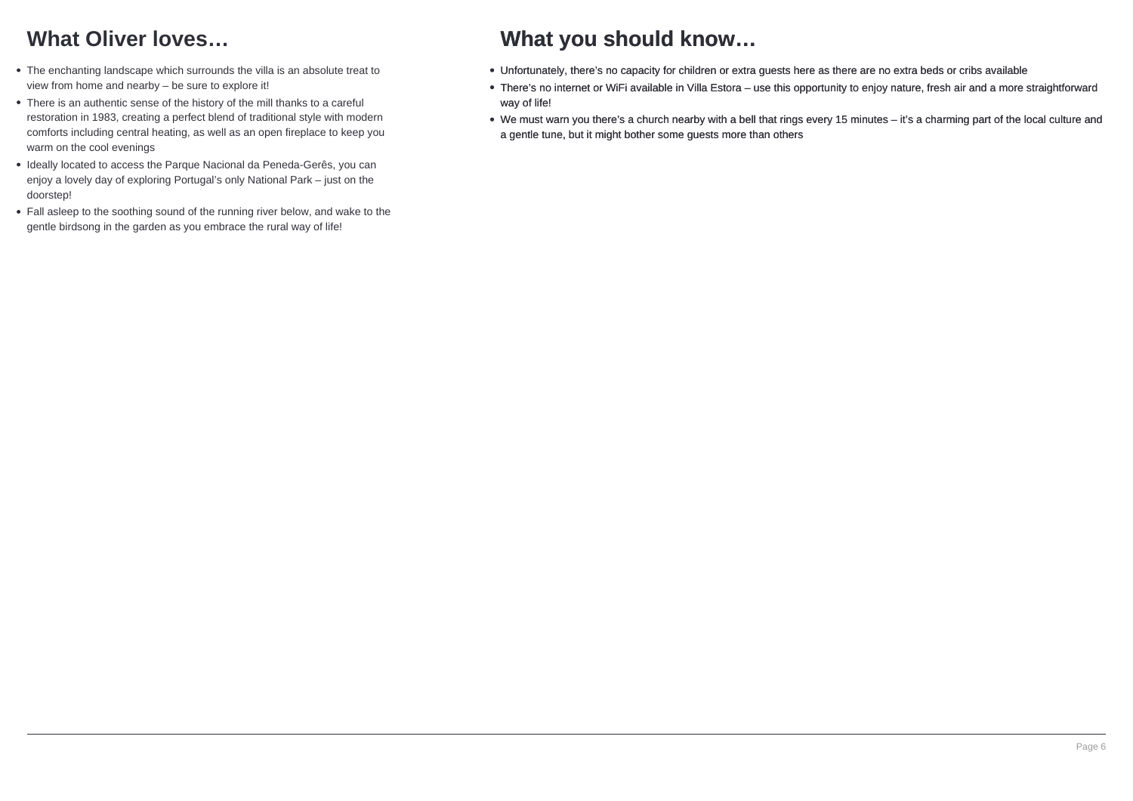# **What Oliver loves…**

- The enchanting landscape which surrounds the villa is an absolute treat to view from home and nearby – be sure to explore it!
- There is an authentic sense of the history of the mill thanks to a careful restoration in 1983, creating a perfect blend of traditional style with modern comforts including central heating, as well as an open fireplace to keep you warm on the cool evenings
- Ideally located to access the Parque Nacional da Peneda-Gerês, you can enjoy a lovely day of exploring Portugal's only National Park – just on the doorstep!
- Fall asleep to the soothing sound of the running river below, and wake to the gentle birdsong in the garden as you embrace the rural way of life!

## **What you should know…**

- Unfortunately, there's no capacity for children or extra guests here as there are no extra beds or cribs available
- There's no internet or WiFi available in Villa Estora use this opportunity to enjoy nature, fresh air and a more straightforward way of life!
- We must warn you there's a church nearby with a bell that rings every 15 minutes it's a charming part of the local culture and a gentle tune, but it might bother some guests more than others